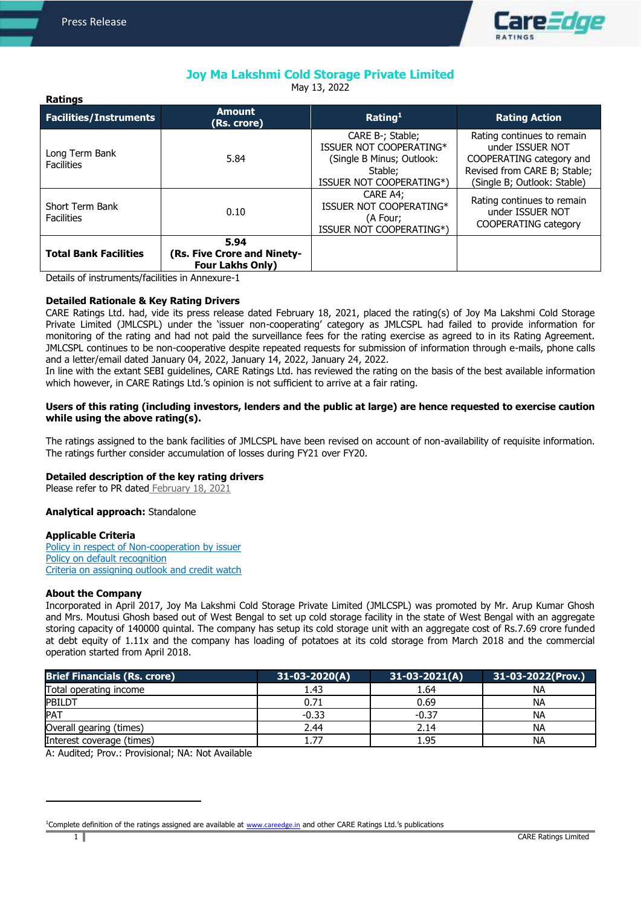**Ratings** 

ļ



# **Joy Ma Lakshmi Cold Storage Private Limited**

May 13, 2022

| naungs                               |                                                                |                                                                                                                 |                                                                                                                                           |
|--------------------------------------|----------------------------------------------------------------|-----------------------------------------------------------------------------------------------------------------|-------------------------------------------------------------------------------------------------------------------------------------------|
| <b>Facilities/Instruments</b>        | <b>Amount</b><br>(Rs. crore)                                   | Rating <sup>1</sup>                                                                                             | <b>Rating Action</b>                                                                                                                      |
| Long Term Bank<br><b>Facilities</b>  | 5.84                                                           | CARE B-; Stable;<br>ISSUER NOT COOPERATING*<br>(Single B Minus; Outlook:<br>Stable:<br>ISSUER NOT COOPERATING*) | Rating continues to remain<br>under ISSUER NOT<br>COOPERATING category and<br>Revised from CARE B; Stable;<br>(Single B; Outlook: Stable) |
| Short Term Bank<br><b>Facilities</b> | 0.10                                                           | CARE A4;<br>ISSUER NOT COOPERATING*<br>(A Four;<br>ISSUER NOT COOPERATING*)                                     | Rating continues to remain<br>under ISSUER NOT<br><b>COOPERATING category</b>                                                             |
| <b>Total Bank Facilities</b>         | 5.94<br>(Rs. Five Crore and Ninety-<br><b>Four Lakhs Only)</b> |                                                                                                                 |                                                                                                                                           |

Details of instruments/facilities in Annexure-1

## **Detailed Rationale & Key Rating Drivers**

CARE Ratings Ltd. had, vide its press release dated February 18, 2021, placed the rating(s) of Joy Ma Lakshmi Cold Storage Private Limited (JMLCSPL) under the 'issuer non-cooperating' category as JMLCSPL had failed to provide information for monitoring of the rating and had not paid the surveillance fees for the rating exercise as agreed to in its Rating Agreement. JMLCSPL continues to be non-cooperative despite repeated requests for submission of information through e-mails, phone calls and a letter/email dated January 04, 2022, January 14, 2022, January 24, 2022.

In line with the extant SEBI guidelines, CARE Ratings Ltd. has reviewed the rating on the basis of the best available information which however, in CARE Ratings Ltd.'s opinion is not sufficient to arrive at a fair rating.

## **Users of this rating (including investors, lenders and the public at large) are hence requested to exercise caution while using the above rating(s).**

The ratings assigned to the bank facilities of JMLCSPL have been revised on account of non-availability of requisite information. The ratings further consider accumulation of losses during FY21 over FY20.

# **Detailed description of the key rating drivers**

Please refer to PR dated [February 18, 2021](https://www.careratings.com/upload/CompanyFiles/PR/18022021091409_Joy_Ma_Lakshmi_Cold_Storage_Private_Limited.pdf)

# **Analytical approach:** Standalone

## **Applicable Criteria**

[Policy in respect of Non-cooperation by issuer](https://www.careratings.com/pdf/resources/Policy%20in%20respect%20of%20%20non%20co-operation%20by%20issuer%20_Oct2020.pdf) [Policy on default recognition](https://www.careratings.com/pdf/resources/CARE) [Criteria on assigning outlook and credit watch](https://www.careratings.com/pdf/resources/Rating%20Outlook%20and%20credit%20watch%20_30May%202020.pdf)

## **About the Company**

Incorporated in April 2017, Joy Ma Lakshmi Cold Storage Private Limited (JMLCSPL) was promoted by Mr. Arup Kumar Ghosh and Mrs. Moutusi Ghosh based out of West Bengal to set up cold storage facility in the state of West Bengal with an aggregate storing capacity of 140000 quintal. The company has setup its cold storage unit with an aggregate cost of Rs.7.69 crore funded at debt equity of 1.11x and the company has loading of potatoes at its cold storage from March 2018 and the commercial operation started from April 2018.

| <b>Brief Financials (Rs. crore)</b> | $31-03-2020(A)$ | $31-03-2021(A)$ | 31-03-2022(Prov.) |
|-------------------------------------|-----------------|-----------------|-------------------|
| Total operating income              | 1.43            | 1.64            | NА                |
| <b>PBILDT</b>                       | 0.71            | 0.69            | NA                |
| PAT                                 | $-0.33$         | $-0.37$         | NA                |
| Overall gearing (times)             | 2.44            | 2.14            | NА                |
| Interest coverage (times)           | 1.77            | 1.95            | NА                |

A: Audited; Prov.: Provisional; NA: Not Available

 $\overline{a}$ 

<sup>&</sup>lt;sup>1</sup>Complete definition of the ratings assigned are available at [www.careedge.in](http://www.careedge.in/) and other CARE Ratings Ltd.'s publications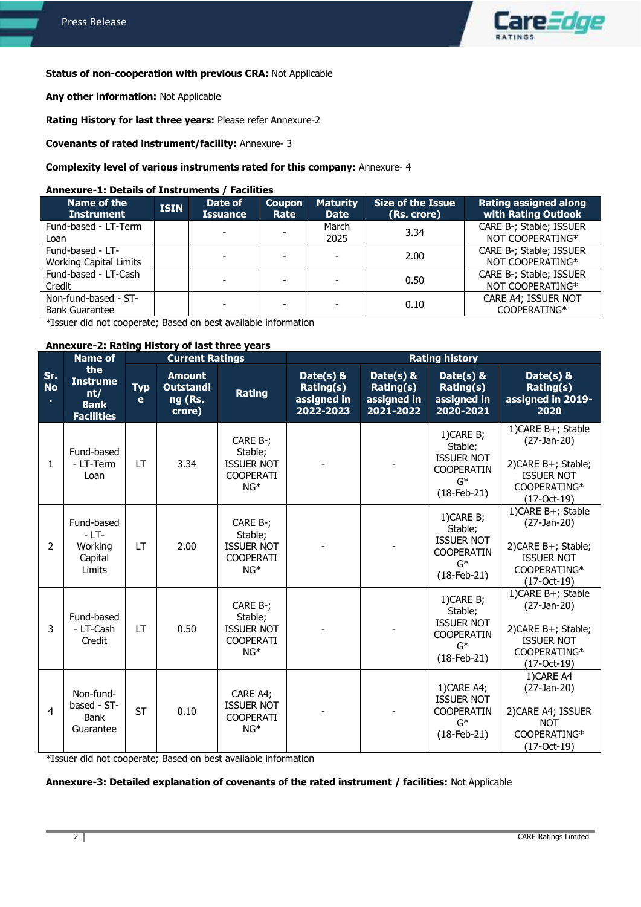ļ



# **Status of non-cooperation with previous CRA:** Not Applicable

**Any other information:** Not Applicable

**Rating History for last three years:** Please refer Annexure-2

**Covenants of rated instrument/facility:** Annexure- 3

## **Complexity level of various instruments rated for this company:** Annexure- 4

#### **Annexure-1: Details of Instruments / Facilities**

| <b>Name of the</b><br><b>Instrument</b>           | <b>ISIN</b> | Date of<br><b>Issuance</b> | <b>Coupon</b><br>Rate    | <b>Maturity</b><br><b>Date</b> | <b>Size of the Issue</b><br>(Rs. crore) | <b>Rating assigned along</b><br>with Rating Outlook |
|---------------------------------------------------|-------------|----------------------------|--------------------------|--------------------------------|-----------------------------------------|-----------------------------------------------------|
| Fund-based - LT-Term<br>Loan                      |             | $\overline{\phantom{a}}$   |                          | March<br>2025                  | 3.34                                    | CARE B-; Stable; ISSUER<br>NOT COOPERATING*         |
| Fund-based - LT-<br><b>Working Capital Limits</b> |             | $\overline{\phantom{a}}$   | $\overline{\phantom{0}}$ |                                | 2.00                                    | CARE B-; Stable; ISSUER<br>NOT COOPERATING*         |
| Fund-based - LT-Cash<br>Credit                    |             |                            |                          |                                | 0.50                                    | CARE B-; Stable; ISSUER<br>NOT COOPERATING*         |
| Non-fund-based - ST-<br><b>Bank Guarantee</b>     |             | $\overline{\phantom{0}}$   |                          |                                | 0.10                                    | CARE A4; ISSUER NOT<br>COOPERATING*                 |

\*Issuer did not cooperate; Based on best available information

#### **Annexure-2: Rating History of last three years**

|                        | <b>Name of</b>                                                    | <b>Current Ratings</b> |                                                        |                                                                       | <b>Rating history</b>                              |                                                       |                                                                                             |                                                                                                                  |
|------------------------|-------------------------------------------------------------------|------------------------|--------------------------------------------------------|-----------------------------------------------------------------------|----------------------------------------------------|-------------------------------------------------------|---------------------------------------------------------------------------------------------|------------------------------------------------------------------------------------------------------------------|
| Sr.<br><b>No</b><br>×. | the<br><b>Instrume</b><br>nt/<br><b>Bank</b><br><b>Facilities</b> | <b>Typ</b><br>e        | <b>Amount</b><br><b>Outstandi</b><br>ng (Rs.<br>crore) | <b>Rating</b>                                                         | Date(s) &<br>Rating(s)<br>assigned in<br>2022-2023 | Date $(s)$ &<br>Rating(s)<br>assigned in<br>2021-2022 | Date(s) $&$<br>Rating(s)<br>assigned in<br>2020-2021                                        | Date( $s$ ) &<br>Rating(s)<br>assigned in 2019-<br>2020                                                          |
| 1                      | Fund-based<br>- LT-Term<br>Loan                                   | <b>LT</b>              | 3.34                                                   | CARE B-;<br>Stable;<br><b>ISSUER NOT</b><br><b>COOPERATI</b><br>$NG*$ |                                                    |                                                       | 1)CARE B;<br>Stable;<br><b>ISSUER NOT</b><br><b>COOPERATIN</b><br>$G^*$<br>$(18-Feb-21)$    | 1) CARE B+; Stable<br>$(27-Jan-20)$<br>2) CARE B+; Stable;<br><b>ISSUER NOT</b><br>COOPERATING*<br>(17-Oct-19)   |
| 2                      | Fund-based<br>$-LT-$<br>Working<br>Capital<br>Limits              | <b>LT</b>              | 2.00                                                   | CARE B-;<br>Stable;<br><b>ISSUER NOT</b><br><b>COOPERATI</b><br>$NG*$ |                                                    |                                                       | 1)CARE B;<br>Stable;<br><b>ISSUER NOT</b><br><b>COOPERATIN</b><br>$G^*$<br>$(18-Feb-21)$    | 1) CARE B+; Stable<br>$(27-Jan-20)$<br>2) CARE B+; Stable;<br><b>ISSUER NOT</b><br>COOPERATING*<br>$(17-Oct-19)$ |
| 3                      | Fund-based<br>- LT-Cash<br>Credit                                 | LT.                    | 0.50                                                   | CARE B-;<br>Stable;<br><b>ISSUER NOT</b><br><b>COOPERATI</b><br>$NG*$ |                                                    |                                                       | $1)$ CARE B;<br>Stable;<br><b>ISSUER NOT</b><br><b>COOPERATIN</b><br>$G^*$<br>$(18-Feb-21)$ | 1)CARE B+; Stable<br>$(27-Jan-20)$<br>2) CARE B+; Stable;<br><b>ISSUER NOT</b><br>COOPERATING*<br>$(17-Cct-19)$  |
| $\overline{4}$         | Non-fund-<br>based - ST-<br>Bank<br>Guarantee                     | <b>ST</b>              | 0.10                                                   | CARE A4;<br><b>ISSUER NOT</b><br><b>COOPERATI</b><br>$NG*$            |                                                    |                                                       | 1)CARE A4;<br><b>ISSUER NOT</b><br><b>COOPERATIN</b><br>$G^*$<br>$(18-Feb-21)$              | 1) CARE A4<br>$(27-Jan-20)$<br>2) CARE A4; ISSUER<br><b>NOT</b><br>COOPERATING*<br>(17-Oct-19)                   |

\*Issuer did not cooperate; Based on best available information

## **Annexure-3: Detailed explanation of covenants of the rated instrument / facilities:** Not Applicable